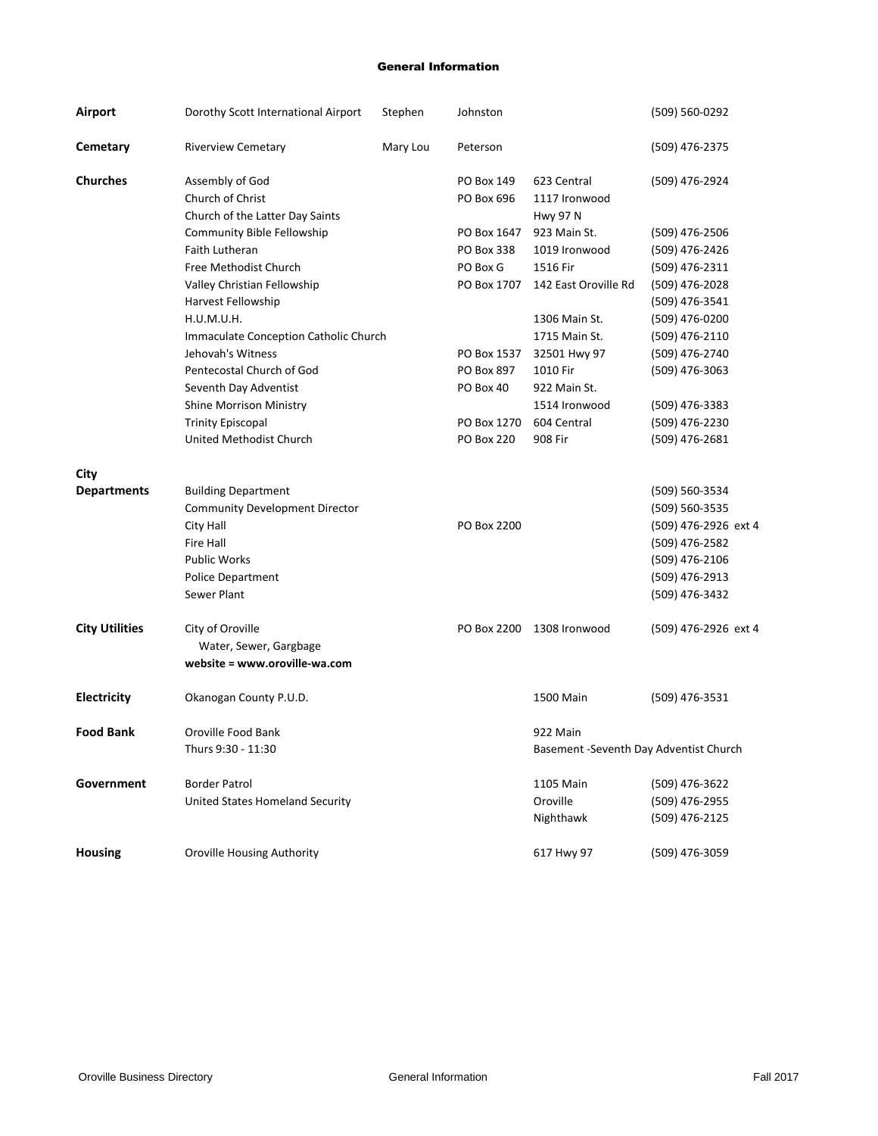## General Information

| <b>Airport</b>        | Dorothy Scott International Airport   | Stephen  | Johnston                 |                                         | (509) 560-0292       |
|-----------------------|---------------------------------------|----------|--------------------------|-----------------------------------------|----------------------|
| Cemetary              | <b>Riverview Cemetary</b>             | Mary Lou | Peterson                 |                                         | (509) 476-2375       |
| <b>Churches</b>       | Assembly of God<br>Church of Christ   |          | PO Box 149<br>PO Box 696 | 623 Central<br>1117 Ironwood            | (509) 476-2924       |
|                       | Church of the Latter Day Saints       |          |                          | <b>Hwy 97 N</b>                         |                      |
|                       | <b>Community Bible Fellowship</b>     |          | PO Box 1647              | 923 Main St.                            | (509) 476-2506       |
|                       | Faith Lutheran                        |          | PO Box 338               | 1019 Ironwood                           | (509) 476-2426       |
|                       | Free Methodist Church                 |          | PO Box G                 | 1516 Fir                                | (509) 476-2311       |
|                       | Valley Christian Fellowship           |          | PO Box 1707              | 142 East Oroville Rd                    | (509) 476-2028       |
|                       | Harvest Fellowship                    |          |                          |                                         | (509) 476-3541       |
|                       | H.U.M.U.H.                            |          |                          | 1306 Main St.                           | (509) 476-0200       |
|                       | Immaculate Conception Catholic Church |          |                          | 1715 Main St.                           | (509) 476-2110       |
|                       | Jehovah's Witness                     |          | PO Box 1537              | 32501 Hwy 97                            | (509) 476-2740       |
|                       | Pentecostal Church of God             |          | PO Box 897               | 1010 Fir                                | (509) 476-3063       |
|                       | Seventh Day Adventist                 |          | PO Box 40                | 922 Main St.                            |                      |
|                       | <b>Shine Morrison Ministry</b>        |          |                          | 1514 Ironwood                           | (509) 476-3383       |
|                       | <b>Trinity Episcopal</b>              |          | PO Box 1270              | 604 Central                             | (509) 476-2230       |
|                       | United Methodist Church               |          | <b>PO Box 220</b>        | 908 Fir                                 | (509) 476-2681       |
| <b>City</b>           |                                       |          |                          |                                         |                      |
| <b>Departments</b>    | <b>Building Department</b>            |          |                          |                                         | (509) 560-3534       |
|                       | <b>Community Development Director</b> |          |                          |                                         | (509) 560-3535       |
|                       | City Hall                             |          | PO Box 2200              |                                         | (509) 476-2926 ext 4 |
|                       | <b>Fire Hall</b>                      |          |                          |                                         | (509) 476-2582       |
|                       | <b>Public Works</b>                   |          |                          |                                         | (509) 476-2106       |
|                       | <b>Police Department</b>              |          |                          |                                         | (509) 476-2913       |
|                       | Sewer Plant                           |          |                          |                                         | (509) 476-3432       |
| <b>City Utilities</b> | City of Oroville                      |          | PO Box 2200              | 1308 Ironwood                           | (509) 476-2926 ext 4 |
|                       | Water, Sewer, Gargbage                |          |                          |                                         |                      |
|                       | website = www.oroville-wa.com         |          |                          |                                         |                      |
| <b>Electricity</b>    | Okanogan County P.U.D.                |          |                          | 1500 Main                               | (509) 476-3531       |
| <b>Food Bank</b>      | Oroville Food Bank                    |          |                          | 922 Main                                |                      |
|                       | Thurs 9:30 - 11:30                    |          |                          | Basement - Seventh Day Adventist Church |                      |
| Government            | <b>Border Patrol</b>                  |          |                          | 1105 Main                               | (509) 476-3622       |
|                       | United States Homeland Security       |          |                          | Oroville                                | (509) 476-2955       |
|                       |                                       |          |                          | Nighthawk                               | (509) 476-2125       |
| <b>Housing</b>        | <b>Oroville Housing Authority</b>     |          |                          | 617 Hwy 97                              | (509) 476-3059       |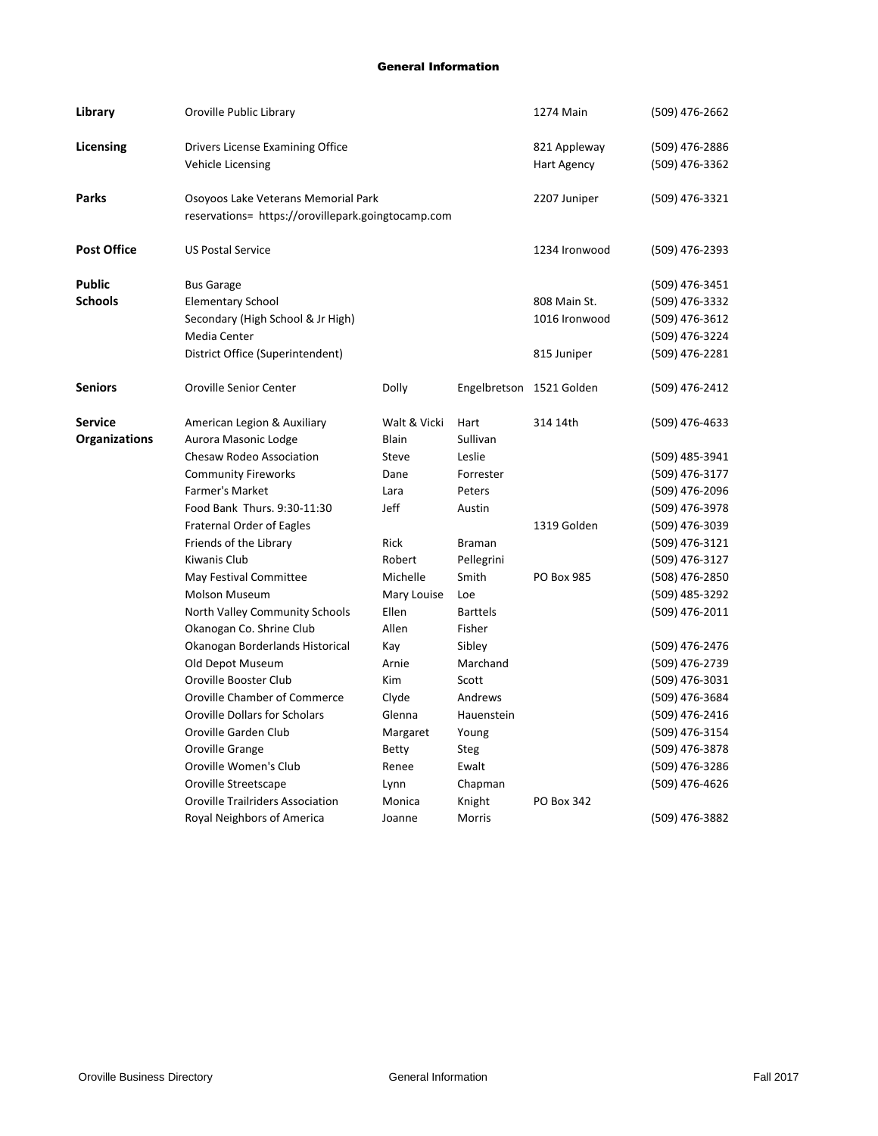## General Information

| Library              | Oroville Public Library                                                                   |              |                 | 1274 Main                | $(509)$ 476-2662 |
|----------------------|-------------------------------------------------------------------------------------------|--------------|-----------------|--------------------------|------------------|
| Licensing            | Drivers License Examining Office                                                          |              |                 | 821 Appleway             | (509) 476-2886   |
|                      | <b>Vehicle Licensing</b>                                                                  |              |                 | Hart Agency              | (509) 476-3362   |
| <b>Parks</b>         | Osoyoos Lake Veterans Memorial Park<br>reservations= https://orovillepark.goingtocamp.com |              |                 | 2207 Juniper             | (509) 476-3321   |
| <b>Post Office</b>   | <b>US Postal Service</b>                                                                  |              |                 | 1234 Ironwood            | (509) 476-2393   |
| <b>Public</b>        | <b>Bus Garage</b>                                                                         |              |                 |                          | (509) 476-3451   |
| <b>Schools</b>       | <b>Elementary School</b>                                                                  |              |                 | 808 Main St.             | (509) 476-3332   |
|                      | Secondary (High School & Jr High)                                                         |              |                 | 1016 Ironwood            | (509) 476-3612   |
|                      | Media Center                                                                              |              |                 |                          | (509) 476-3224   |
|                      | District Office (Superintendent)                                                          |              |                 | 815 Juniper              | (509) 476-2281   |
| <b>Seniors</b>       | <b>Oroville Senior Center</b>                                                             | Dolly        |                 | Engelbretson 1521 Golden | (509) 476-2412   |
| <b>Service</b>       | American Legion & Auxiliary                                                               | Walt & Vicki | Hart            | 314 14th                 | (509) 476-4633   |
| <b>Organizations</b> | Aurora Masonic Lodge                                                                      | Blain        | Sullivan        |                          |                  |
|                      | <b>Chesaw Rodeo Association</b>                                                           | Steve        | Leslie          |                          | (509) 485-3941   |
|                      | <b>Community Fireworks</b>                                                                | Dane         | Forrester       |                          | (509) 476-3177   |
|                      | Farmer's Market                                                                           | Lara         | Peters          |                          | (509) 476-2096   |
|                      | Food Bank Thurs. 9:30-11:30                                                               | Jeff         | Austin          |                          | (509) 476-3978   |
|                      | <b>Fraternal Order of Eagles</b>                                                          |              |                 | 1319 Golden              | (509) 476-3039   |
|                      | Friends of the Library                                                                    | Rick         | <b>Braman</b>   |                          | (509) 476-3121   |
|                      | Kiwanis Club                                                                              | Robert       | Pellegrini      |                          | (509) 476-3127   |
|                      | May Festival Committee                                                                    | Michelle     | Smith           | <b>PO Box 985</b>        | (508) 476-2850   |
|                      | <b>Molson Museum</b>                                                                      | Mary Louise  | Loe             |                          | (509) 485-3292   |
|                      | North Valley Community Schools                                                            | Ellen        | <b>Barttels</b> |                          | (509) 476-2011   |
|                      | Okanogan Co. Shrine Club                                                                  | Allen        | Fisher          |                          |                  |
|                      | Okanogan Borderlands Historical                                                           | Kay          | Sibley          |                          | (509) 476-2476   |
|                      | Old Depot Museum                                                                          | Arnie        | Marchand        |                          | (509) 476-2739   |
|                      | Oroville Booster Club                                                                     | Kim          | Scott           |                          | (509) 476-3031   |
|                      | Oroville Chamber of Commerce                                                              | Clyde        | Andrews         |                          | (509) 476-3684   |
|                      | <b>Oroville Dollars for Scholars</b>                                                      | Glenna       | Hauenstein      |                          | (509) 476-2416   |
|                      | Oroville Garden Club                                                                      | Margaret     | Young           |                          | (509) 476-3154   |
|                      | Oroville Grange                                                                           | <b>Betty</b> | <b>Steg</b>     |                          | (509) 476-3878   |
|                      | Oroville Women's Club                                                                     | Renee        | Ewalt           |                          | (509) 476-3286   |
|                      | Oroville Streetscape                                                                      | Lynn         | Chapman         |                          | (509) 476-4626   |
|                      | <b>Oroville Trailriders Association</b>                                                   | Monica       | Knight          | PO Box 342               |                  |
|                      | Royal Neighbors of America                                                                | Joanne       | Morris          |                          | (509) 476-3882   |